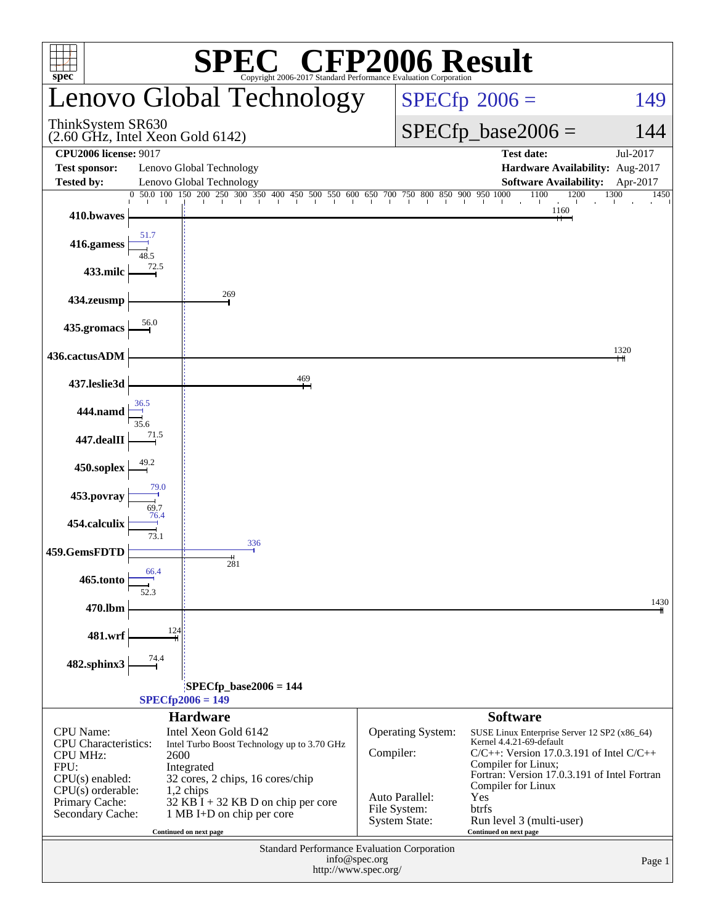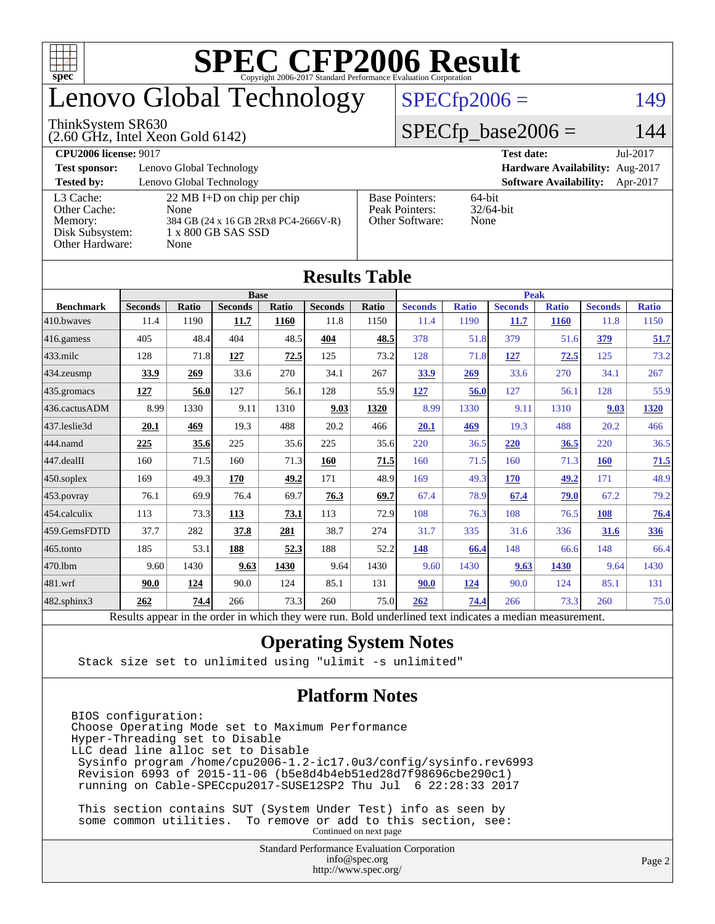

## enovo Global Technology

#### ThinkSystem SR630

(2.60 GHz, Intel Xeon Gold 6142)

#### $SPECfp2006 = 149$  $SPECfp2006 = 149$

#### $SPECfp\_base2006 = 144$

**[CPU2006 license:](http://www.spec.org/auto/cpu2006/Docs/result-fields.html#CPU2006license)** 9017 **[Test date:](http://www.spec.org/auto/cpu2006/Docs/result-fields.html#Testdate)** Jul-2017 **[Test sponsor:](http://www.spec.org/auto/cpu2006/Docs/result-fields.html#Testsponsor)** Lenovo Global Technology **[Hardware Availability:](http://www.spec.org/auto/cpu2006/Docs/result-fields.html#HardwareAvailability)** Aug-2017 **[Tested by:](http://www.spec.org/auto/cpu2006/Docs/result-fields.html#Testedby)** Lenovo Global Technology **[Software Availability:](http://www.spec.org/auto/cpu2006/Docs/result-fields.html#SoftwareAvailability)** Apr-2017 [L3 Cache:](http://www.spec.org/auto/cpu2006/Docs/result-fields.html#L3Cache) 22 MB I+D on chip per chip<br>Other Cache: None [Other Cache:](http://www.spec.org/auto/cpu2006/Docs/result-fields.html#OtherCache) [Memory:](http://www.spec.org/auto/cpu2006/Docs/result-fields.html#Memory) 384 GB (24 x 16 GB 2Rx8 PC4-2666V-R) [Disk Subsystem:](http://www.spec.org/auto/cpu2006/Docs/result-fields.html#DiskSubsystem) 1 x 800 GB SAS SSD [Other Hardware:](http://www.spec.org/auto/cpu2006/Docs/result-fields.html#OtherHardware) None [Base Pointers:](http://www.spec.org/auto/cpu2006/Docs/result-fields.html#BasePointers) 64-bit<br>Peak Pointers: 32/64-bit [Peak Pointers:](http://www.spec.org/auto/cpu2006/Docs/result-fields.html#PeakPointers) [Other Software:](http://www.spec.org/auto/cpu2006/Docs/result-fields.html#OtherSoftware) None

| <b>Results Table</b>   |                                                                                                          |              |                |       |                |       |                |              |                |              |                |              |
|------------------------|----------------------------------------------------------------------------------------------------------|--------------|----------------|-------|----------------|-------|----------------|--------------|----------------|--------------|----------------|--------------|
|                        |                                                                                                          | <b>Peak</b>  |                |       |                |       |                |              |                |              |                |              |
| <b>Benchmark</b>       | <b>Seconds</b>                                                                                           | <b>Ratio</b> | <b>Seconds</b> | Ratio | <b>Seconds</b> | Ratio | <b>Seconds</b> | <b>Ratio</b> | <b>Seconds</b> | <b>Ratio</b> | <b>Seconds</b> | <b>Ratio</b> |
| 410.bwayes             | 11.4                                                                                                     | 1190         | 11.7           | 1160  | 11.8           | 1150  | 11.4           | 1190         | 11.7           | <b>1160</b>  | 11.8           | 1150         |
| $416$ .gamess          | 405                                                                                                      | 48.4         | 404            | 48.5  | 404            | 48.5  | 378            | 51.8         | 379            | 51.6         | 379            | 51.7         |
| $ 433 \text{.}$ milc   | 128                                                                                                      | 71.8         | 127            | 72.5  | 125            | 73.2  | 128            | 71.8         | 127            | 72.5         | 125            | 73.2         |
| 434.zeusmp             | 33.9                                                                                                     | 269          | 33.6           | 270   | 34.1           | 267   | 33.9           | 269          | 33.6           | 270          | 34.1           | 267          |
| $435$ .gromacs         | 127                                                                                                      | 56.0         | 127            | 56.1  | 128            | 55.9  | 127            | 56.0         | 127            | 56.1         | 128            | 55.9         |
| 436.cactusADM          | 8.99                                                                                                     | 1330         | 9.11           | 1310  | 9.03           | 1320  | 8.99           | 1330         | 9.11           | 1310         | 9.03           | 1320         |
| 437.leslie3d           | 20.1                                                                                                     | 469          | 19.3           | 488   | 20.2           | 466   | 20.1           | 469          | 19.3           | 488          | 20.2           | 466          |
| 444.namd               | 225                                                                                                      | 35.6         | 225            | 35.6  | 225            | 35.6  | 220            | 36.5         | 220            | 36.5         | 220            | 36.5         |
| $ 447 \text{.}$ dealII | 160                                                                                                      | 71.5         | 160            | 71.3  | 160            | 71.5  | 160            | 71.5         | 160            | 71.3         | <b>160</b>     | 71.5         |
| $450$ .soplex          | 169                                                                                                      | 49.3         | 170            | 49.2  | 171            | 48.9  | 169            | 49.3         | 170            | 49.2         | 171            | 48.9         |
| $453$ .povray          | 76.1                                                                                                     | 69.9         | 76.4           | 69.7  | 76.3           | 69.7  | 67.4           | 78.9         | 67.4           | 79.0         | 67.2           | 79.2         |
| $454$ .calculix        | 113                                                                                                      | 73.3         | 113            | 73.1  | 113            | 72.9  | 108            | 76.3         | 108            | 76.5         | 108            | 76.4         |
| 459.GemsFDTD           | 37.7                                                                                                     | 282          | 37.8           | 281   | 38.7           | 274   | 31.7           | 335          | 31.6           | 336          | 31.6           | 336          |
| $465$ .tonto           | 185                                                                                                      | 53.1         | 188            | 52.3  | 188            | 52.2  | 148            | 66.4         | 148            | 66.6         | 148            | 66.4         |
| 470.1bm                | 9.60                                                                                                     | 1430         | 9.63           | 1430  | 9.64           | 1430  | 9.60           | 1430         | 9.63           | 1430         | 9.64           | 1430         |
| 481.wrf                | 90.0                                                                                                     | 124          | 90.0           | 124   | 85.1           | 131   | 90.0           | 124          | 90.0           | 124          | 85.1           | 131          |
| 482.sphinx3            | 262                                                                                                      | 74.4         | 266            | 73.3  | 260            | 75.0  | 262            | 74.4         | 266            | 73.3         | 260            | 75.0         |
|                        | Results appear in the order in which they were run. Bold underlined text indicates a median measurement. |              |                |       |                |       |                |              |                |              |                |              |

#### **[Operating System Notes](http://www.spec.org/auto/cpu2006/Docs/result-fields.html#OperatingSystemNotes)**

Stack size set to unlimited using "ulimit -s unlimited"

#### **[Platform Notes](http://www.spec.org/auto/cpu2006/Docs/result-fields.html#PlatformNotes)**

BIOS configuration: Choose Operating Mode set to Maximum Performance Hyper-Threading set to Disable LLC dead line alloc set to Disable Sysinfo program /home/cpu2006-1.2-ic17.0u3/config/sysinfo.rev6993 Revision 6993 of 2015-11-06 (b5e8d4b4eb51ed28d7f98696cbe290c1) running on Cable-SPECcpu2017-SUSE12SP2 Thu Jul 6 22:28:33 2017

 This section contains SUT (System Under Test) info as seen by some common utilities. To remove or add to this section, see: Continued on next page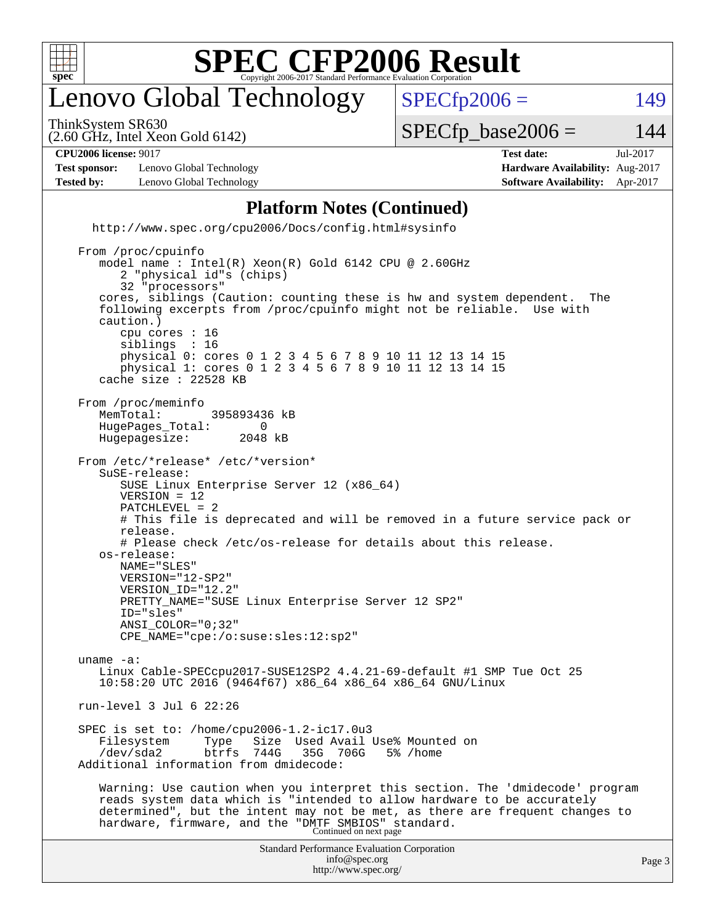

## enovo Global Technology

ThinkSystem SR630

 $SPECTp2006 = 149$ 

(2.60 GHz, Intel Xeon Gold 6142)

 $SPECTp\_base2006 = 144$ 

| [ <b>12006 li</b><br>$\boldsymbol{\cap}$ di<br>. 9011<br>license: | date:<br>۵ς۴ - | 71 V<br>Jul- |
|-------------------------------------------------------------------|----------------|--------------|
| ____<br>$ -$                                                      | $- -$<br>.     | $  -$        |

**[Test sponsor:](http://www.spec.org/auto/cpu2006/Docs/result-fields.html#Testsponsor)** Lenovo Global Technology **[Hardware Availability:](http://www.spec.org/auto/cpu2006/Docs/result-fields.html#HardwareAvailability)** Aug-2017 **[Tested by:](http://www.spec.org/auto/cpu2006/Docs/result-fields.html#Testedby)** Lenovo Global Technology **[Software Availability:](http://www.spec.org/auto/cpu2006/Docs/result-fields.html#SoftwareAvailability)** Apr-2017

#### **[Platform Notes \(Continued\)](http://www.spec.org/auto/cpu2006/Docs/result-fields.html#PlatformNotes)**

 <http://www.spec.org/cpu2006/Docs/config.html#sysinfo> From /proc/cpuinfo model name : Intel(R) Xeon(R) Gold 6142 CPU @ 2.60GHz 2 "physical id"s (chips) 32 "processors"

 cores, siblings (Caution: counting these is hw and system dependent. The following excerpts from /proc/cpuinfo might not be reliable. Use with caution.) cpu cores : 16 siblings : 16

 physical 0: cores 0 1 2 3 4 5 6 7 8 9 10 11 12 13 14 15 physical 1: cores 0 1 2 3 4 5 6 7 8 9 10 11 12 13 14 15 cache size : 22528 KB

From /proc/meminfo<br>MemTotal: 395893436 kB HugePages\_Total: 0<br>Hugepagesize: 2048 kB Hugepagesize:

 From /etc/\*release\* /etc/\*version\* SuSE-release: SUSE Linux Enterprise Server 12 (x86\_64) VERSION = 12 PATCHLEVEL = 2 # This file is deprecated and will be removed in a future service pack or release. # Please check /etc/os-release for details about this release. os-release: NAME="SLES" VERSION="12-SP2"

 VERSION\_ID="12.2" PRETTY\_NAME="SUSE Linux Enterprise Server 12 SP2" ID="sles"

 ANSI\_COLOR="0;32" CPE\_NAME="cpe:/o:suse:sles:12:sp2" uname -a: Linux Cable-SPECcpu2017-SUSE12SP2 4.4.21-69-default #1 SMP Tue Oct 25 10:58:20 UTC 2016 (9464f67) x86\_64 x86\_64 x86\_64 GNU/Linux run-level 3 Jul 6 22:26

 SPEC is set to: /home/cpu2006-1.2-ic17.0u3 Filesystem Type Size Used-Avail-Use%-Mounted-on-<br>
/dev/sda2 btrfs 744G 35G 706G 5%-/home /dev/sda2 btrfs 744G 35G 706G 5% /home

Additional information from dmidecode:

 Warning: Use caution when you interpret this section. The 'dmidecode' program reads system data which is "intended to allow hardware to be accurately determined", but the intent may not be met, as there are frequent changes to hardware, firmware, and the "DMTF SMBIOS" standard.<br>Continued on next page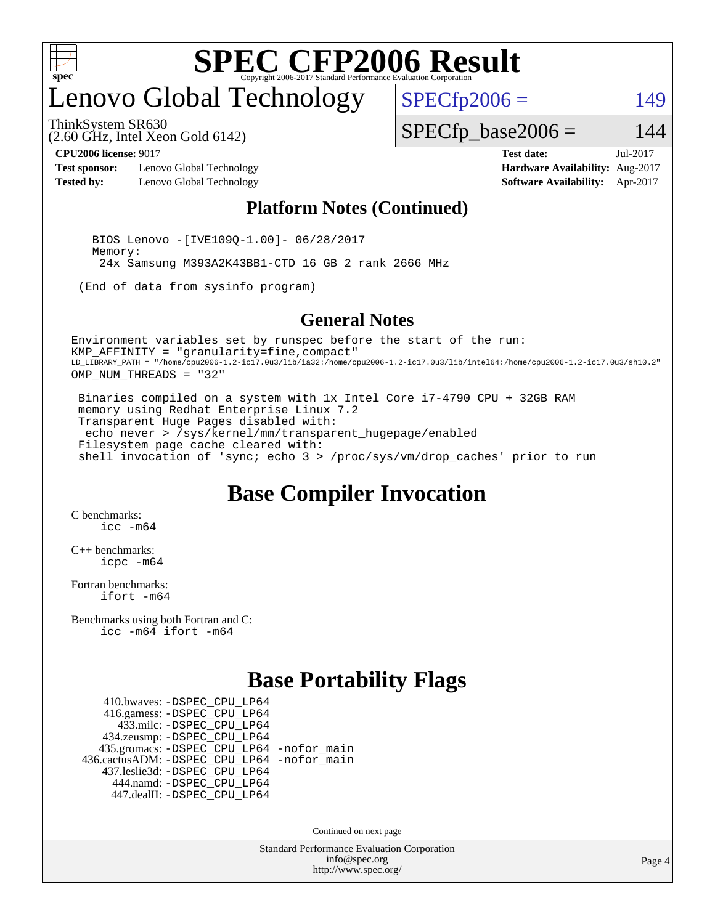

## enovo Global Technology

ThinkSystem SR630

(2.60 GHz, Intel Xeon Gold 6142)

 $SPECfp2006 = 149$  $SPECfp2006 = 149$ 

#### $SPECfp\_base2006 = 144$

**[CPU2006 license:](http://www.spec.org/auto/cpu2006/Docs/result-fields.html#CPU2006license)** 9017 **[Test date:](http://www.spec.org/auto/cpu2006/Docs/result-fields.html#Testdate)** Jul-2017

**[Test sponsor:](http://www.spec.org/auto/cpu2006/Docs/result-fields.html#Testsponsor)** Lenovo Global Technology **[Hardware Availability:](http://www.spec.org/auto/cpu2006/Docs/result-fields.html#HardwareAvailability)** Aug-2017 **[Tested by:](http://www.spec.org/auto/cpu2006/Docs/result-fields.html#Testedby)** Lenovo Global Technology **[Software Availability:](http://www.spec.org/auto/cpu2006/Docs/result-fields.html#SoftwareAvailability)** Apr-2017

#### **[Platform Notes \(Continued\)](http://www.spec.org/auto/cpu2006/Docs/result-fields.html#PlatformNotes)**

 BIOS Lenovo -[IVE109Q-1.00]- 06/28/2017 Memory: 24x Samsung M393A2K43BB1-CTD 16 GB 2 rank 2666 MHz

(End of data from sysinfo program)

#### **[General Notes](http://www.spec.org/auto/cpu2006/Docs/result-fields.html#GeneralNotes)**

Environment variables set by runspec before the start of the run: KMP\_AFFINITY = "granularity=fine,compact" LD\_LIBRARY\_PATH = "/home/cpu2006-1.2-ic17.0u3/lib/ia32:/home/cpu2006-1.2-ic17.0u3/lib/intel64:/home/cpu2006-1.2-ic17.0u3/sh10.2" OMP\_NUM\_THREADS = "32"

 Binaries compiled on a system with 1x Intel Core i7-4790 CPU + 32GB RAM memory using Redhat Enterprise Linux 7.2 Transparent Huge Pages disabled with: echo never > /sys/kernel/mm/transparent\_hugepage/enabled Filesystem page cache cleared with: shell invocation of 'sync; echo 3 > /proc/sys/vm/drop\_caches' prior to run

#### **[Base Compiler Invocation](http://www.spec.org/auto/cpu2006/Docs/result-fields.html#BaseCompilerInvocation)**

[C benchmarks](http://www.spec.org/auto/cpu2006/Docs/result-fields.html#Cbenchmarks): [icc -m64](http://www.spec.org/cpu2006/results/res2017q4/cpu2006-20170918-49503.flags.html#user_CCbase_intel_icc_64bit_bda6cc9af1fdbb0edc3795bac97ada53)

[C++ benchmarks:](http://www.spec.org/auto/cpu2006/Docs/result-fields.html#CXXbenchmarks) [icpc -m64](http://www.spec.org/cpu2006/results/res2017q4/cpu2006-20170918-49503.flags.html#user_CXXbase_intel_icpc_64bit_fc66a5337ce925472a5c54ad6a0de310)

[Fortran benchmarks](http://www.spec.org/auto/cpu2006/Docs/result-fields.html#Fortranbenchmarks): [ifort -m64](http://www.spec.org/cpu2006/results/res2017q4/cpu2006-20170918-49503.flags.html#user_FCbase_intel_ifort_64bit_ee9d0fb25645d0210d97eb0527dcc06e)

[Benchmarks using both Fortran and C](http://www.spec.org/auto/cpu2006/Docs/result-fields.html#BenchmarksusingbothFortranandC): [icc -m64](http://www.spec.org/cpu2006/results/res2017q4/cpu2006-20170918-49503.flags.html#user_CC_FCbase_intel_icc_64bit_bda6cc9af1fdbb0edc3795bac97ada53) [ifort -m64](http://www.spec.org/cpu2006/results/res2017q4/cpu2006-20170918-49503.flags.html#user_CC_FCbase_intel_ifort_64bit_ee9d0fb25645d0210d97eb0527dcc06e)

#### **[Base Portability Flags](http://www.spec.org/auto/cpu2006/Docs/result-fields.html#BasePortabilityFlags)**

 410.bwaves: [-DSPEC\\_CPU\\_LP64](http://www.spec.org/cpu2006/results/res2017q4/cpu2006-20170918-49503.flags.html#suite_basePORTABILITY410_bwaves_DSPEC_CPU_LP64) 416.gamess: [-DSPEC\\_CPU\\_LP64](http://www.spec.org/cpu2006/results/res2017q4/cpu2006-20170918-49503.flags.html#suite_basePORTABILITY416_gamess_DSPEC_CPU_LP64) 433.milc: [-DSPEC\\_CPU\\_LP64](http://www.spec.org/cpu2006/results/res2017q4/cpu2006-20170918-49503.flags.html#suite_basePORTABILITY433_milc_DSPEC_CPU_LP64) 434.zeusmp: [-DSPEC\\_CPU\\_LP64](http://www.spec.org/cpu2006/results/res2017q4/cpu2006-20170918-49503.flags.html#suite_basePORTABILITY434_zeusmp_DSPEC_CPU_LP64) 435.gromacs: [-DSPEC\\_CPU\\_LP64](http://www.spec.org/cpu2006/results/res2017q4/cpu2006-20170918-49503.flags.html#suite_basePORTABILITY435_gromacs_DSPEC_CPU_LP64) [-nofor\\_main](http://www.spec.org/cpu2006/results/res2017q4/cpu2006-20170918-49503.flags.html#user_baseLDPORTABILITY435_gromacs_f-nofor_main) 436.cactusADM: [-DSPEC\\_CPU\\_LP64](http://www.spec.org/cpu2006/results/res2017q4/cpu2006-20170918-49503.flags.html#suite_basePORTABILITY436_cactusADM_DSPEC_CPU_LP64) [-nofor\\_main](http://www.spec.org/cpu2006/results/res2017q4/cpu2006-20170918-49503.flags.html#user_baseLDPORTABILITY436_cactusADM_f-nofor_main) 437.leslie3d: [-DSPEC\\_CPU\\_LP64](http://www.spec.org/cpu2006/results/res2017q4/cpu2006-20170918-49503.flags.html#suite_basePORTABILITY437_leslie3d_DSPEC_CPU_LP64) 444.namd: [-DSPEC\\_CPU\\_LP64](http://www.spec.org/cpu2006/results/res2017q4/cpu2006-20170918-49503.flags.html#suite_basePORTABILITY444_namd_DSPEC_CPU_LP64) 447.dealII: [-DSPEC\\_CPU\\_LP64](http://www.spec.org/cpu2006/results/res2017q4/cpu2006-20170918-49503.flags.html#suite_basePORTABILITY447_dealII_DSPEC_CPU_LP64)

Continued on next page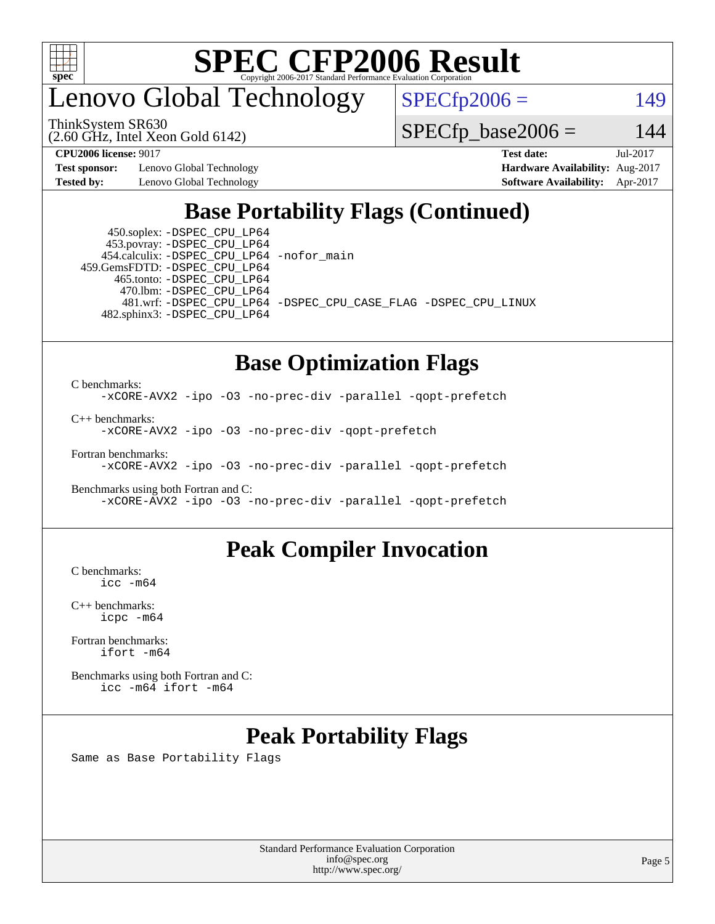

### enovo Global Technology

ThinkSystem SR630

(2.60 GHz, Intel Xeon Gold 6142)

 $SPECfp2006 = 149$  $SPECfp2006 = 149$ 

 $SPECTp\_base2006 = 144$ 

**[Test sponsor:](http://www.spec.org/auto/cpu2006/Docs/result-fields.html#Testsponsor)** Lenovo Global Technology **[Hardware Availability:](http://www.spec.org/auto/cpu2006/Docs/result-fields.html#HardwareAvailability)** Aug-2017 **[Tested by:](http://www.spec.org/auto/cpu2006/Docs/result-fields.html#Testedby)** Lenovo Global Technology **[Software Availability:](http://www.spec.org/auto/cpu2006/Docs/result-fields.html#SoftwareAvailability)** Apr-2017

**[CPU2006 license:](http://www.spec.org/auto/cpu2006/Docs/result-fields.html#CPU2006license)** 9017 **[Test date:](http://www.spec.org/auto/cpu2006/Docs/result-fields.html#Testdate)** Jul-2017

### **[Base Portability Flags \(Continued\)](http://www.spec.org/auto/cpu2006/Docs/result-fields.html#BasePortabilityFlags)**

 450.soplex: [-DSPEC\\_CPU\\_LP64](http://www.spec.org/cpu2006/results/res2017q4/cpu2006-20170918-49503.flags.html#suite_basePORTABILITY450_soplex_DSPEC_CPU_LP64) 453.povray: [-DSPEC\\_CPU\\_LP64](http://www.spec.org/cpu2006/results/res2017q4/cpu2006-20170918-49503.flags.html#suite_basePORTABILITY453_povray_DSPEC_CPU_LP64) 454.calculix: [-DSPEC\\_CPU\\_LP64](http://www.spec.org/cpu2006/results/res2017q4/cpu2006-20170918-49503.flags.html#suite_basePORTABILITY454_calculix_DSPEC_CPU_LP64) [-nofor\\_main](http://www.spec.org/cpu2006/results/res2017q4/cpu2006-20170918-49503.flags.html#user_baseLDPORTABILITY454_calculix_f-nofor_main) 459.GemsFDTD: [-DSPEC\\_CPU\\_LP64](http://www.spec.org/cpu2006/results/res2017q4/cpu2006-20170918-49503.flags.html#suite_basePORTABILITY459_GemsFDTD_DSPEC_CPU_LP64) 465.tonto: [-DSPEC\\_CPU\\_LP64](http://www.spec.org/cpu2006/results/res2017q4/cpu2006-20170918-49503.flags.html#suite_basePORTABILITY465_tonto_DSPEC_CPU_LP64) 470.lbm: [-DSPEC\\_CPU\\_LP64](http://www.spec.org/cpu2006/results/res2017q4/cpu2006-20170918-49503.flags.html#suite_basePORTABILITY470_lbm_DSPEC_CPU_LP64) 482.sphinx3: [-DSPEC\\_CPU\\_LP64](http://www.spec.org/cpu2006/results/res2017q4/cpu2006-20170918-49503.flags.html#suite_basePORTABILITY482_sphinx3_DSPEC_CPU_LP64)

481.wrf: [-DSPEC\\_CPU\\_LP64](http://www.spec.org/cpu2006/results/res2017q4/cpu2006-20170918-49503.flags.html#suite_basePORTABILITY481_wrf_DSPEC_CPU_LP64) [-DSPEC\\_CPU\\_CASE\\_FLAG](http://www.spec.org/cpu2006/results/res2017q4/cpu2006-20170918-49503.flags.html#b481.wrf_baseCPORTABILITY_DSPEC_CPU_CASE_FLAG) [-DSPEC\\_CPU\\_LINUX](http://www.spec.org/cpu2006/results/res2017q4/cpu2006-20170918-49503.flags.html#b481.wrf_baseCPORTABILITY_DSPEC_CPU_LINUX)

#### **[Base Optimization Flags](http://www.spec.org/auto/cpu2006/Docs/result-fields.html#BaseOptimizationFlags)**

[C benchmarks](http://www.spec.org/auto/cpu2006/Docs/result-fields.html#Cbenchmarks): [-xCORE-AVX2](http://www.spec.org/cpu2006/results/res2017q4/cpu2006-20170918-49503.flags.html#user_CCbase_f-xCORE-AVX2) [-ipo](http://www.spec.org/cpu2006/results/res2017q4/cpu2006-20170918-49503.flags.html#user_CCbase_f-ipo) [-O3](http://www.spec.org/cpu2006/results/res2017q4/cpu2006-20170918-49503.flags.html#user_CCbase_f-O3) [-no-prec-div](http://www.spec.org/cpu2006/results/res2017q4/cpu2006-20170918-49503.flags.html#user_CCbase_f-no-prec-div) [-parallel](http://www.spec.org/cpu2006/results/res2017q4/cpu2006-20170918-49503.flags.html#user_CCbase_f-parallel) [-qopt-prefetch](http://www.spec.org/cpu2006/results/res2017q4/cpu2006-20170918-49503.flags.html#user_CCbase_f-qopt-prefetch)

[C++ benchmarks:](http://www.spec.org/auto/cpu2006/Docs/result-fields.html#CXXbenchmarks)

[-xCORE-AVX2](http://www.spec.org/cpu2006/results/res2017q4/cpu2006-20170918-49503.flags.html#user_CXXbase_f-xCORE-AVX2) [-ipo](http://www.spec.org/cpu2006/results/res2017q4/cpu2006-20170918-49503.flags.html#user_CXXbase_f-ipo) [-O3](http://www.spec.org/cpu2006/results/res2017q4/cpu2006-20170918-49503.flags.html#user_CXXbase_f-O3) [-no-prec-div](http://www.spec.org/cpu2006/results/res2017q4/cpu2006-20170918-49503.flags.html#user_CXXbase_f-no-prec-div) [-qopt-prefetch](http://www.spec.org/cpu2006/results/res2017q4/cpu2006-20170918-49503.flags.html#user_CXXbase_f-qopt-prefetch)

[Fortran benchmarks](http://www.spec.org/auto/cpu2006/Docs/result-fields.html#Fortranbenchmarks):

[-xCORE-AVX2](http://www.spec.org/cpu2006/results/res2017q4/cpu2006-20170918-49503.flags.html#user_FCbase_f-xCORE-AVX2) [-ipo](http://www.spec.org/cpu2006/results/res2017q4/cpu2006-20170918-49503.flags.html#user_FCbase_f-ipo) [-O3](http://www.spec.org/cpu2006/results/res2017q4/cpu2006-20170918-49503.flags.html#user_FCbase_f-O3) [-no-prec-div](http://www.spec.org/cpu2006/results/res2017q4/cpu2006-20170918-49503.flags.html#user_FCbase_f-no-prec-div) [-parallel](http://www.spec.org/cpu2006/results/res2017q4/cpu2006-20170918-49503.flags.html#user_FCbase_f-parallel) [-qopt-prefetch](http://www.spec.org/cpu2006/results/res2017q4/cpu2006-20170918-49503.flags.html#user_FCbase_f-qopt-prefetch)

[Benchmarks using both Fortran and C](http://www.spec.org/auto/cpu2006/Docs/result-fields.html#BenchmarksusingbothFortranandC): [-xCORE-AVX2](http://www.spec.org/cpu2006/results/res2017q4/cpu2006-20170918-49503.flags.html#user_CC_FCbase_f-xCORE-AVX2) [-ipo](http://www.spec.org/cpu2006/results/res2017q4/cpu2006-20170918-49503.flags.html#user_CC_FCbase_f-ipo) [-O3](http://www.spec.org/cpu2006/results/res2017q4/cpu2006-20170918-49503.flags.html#user_CC_FCbase_f-O3) [-no-prec-div](http://www.spec.org/cpu2006/results/res2017q4/cpu2006-20170918-49503.flags.html#user_CC_FCbase_f-no-prec-div) [-parallel](http://www.spec.org/cpu2006/results/res2017q4/cpu2006-20170918-49503.flags.html#user_CC_FCbase_f-parallel) [-qopt-prefetch](http://www.spec.org/cpu2006/results/res2017q4/cpu2006-20170918-49503.flags.html#user_CC_FCbase_f-qopt-prefetch)

#### **[Peak Compiler Invocation](http://www.spec.org/auto/cpu2006/Docs/result-fields.html#PeakCompilerInvocation)**

[C benchmarks](http://www.spec.org/auto/cpu2006/Docs/result-fields.html#Cbenchmarks): [icc -m64](http://www.spec.org/cpu2006/results/res2017q4/cpu2006-20170918-49503.flags.html#user_CCpeak_intel_icc_64bit_bda6cc9af1fdbb0edc3795bac97ada53)

[C++ benchmarks:](http://www.spec.org/auto/cpu2006/Docs/result-fields.html#CXXbenchmarks) [icpc -m64](http://www.spec.org/cpu2006/results/res2017q4/cpu2006-20170918-49503.flags.html#user_CXXpeak_intel_icpc_64bit_fc66a5337ce925472a5c54ad6a0de310)

[Fortran benchmarks](http://www.spec.org/auto/cpu2006/Docs/result-fields.html#Fortranbenchmarks): [ifort -m64](http://www.spec.org/cpu2006/results/res2017q4/cpu2006-20170918-49503.flags.html#user_FCpeak_intel_ifort_64bit_ee9d0fb25645d0210d97eb0527dcc06e)

[Benchmarks using both Fortran and C](http://www.spec.org/auto/cpu2006/Docs/result-fields.html#BenchmarksusingbothFortranandC): [icc -m64](http://www.spec.org/cpu2006/results/res2017q4/cpu2006-20170918-49503.flags.html#user_CC_FCpeak_intel_icc_64bit_bda6cc9af1fdbb0edc3795bac97ada53) [ifort -m64](http://www.spec.org/cpu2006/results/res2017q4/cpu2006-20170918-49503.flags.html#user_CC_FCpeak_intel_ifort_64bit_ee9d0fb25645d0210d97eb0527dcc06e)

#### **[Peak Portability Flags](http://www.spec.org/auto/cpu2006/Docs/result-fields.html#PeakPortabilityFlags)**

Same as Base Portability Flags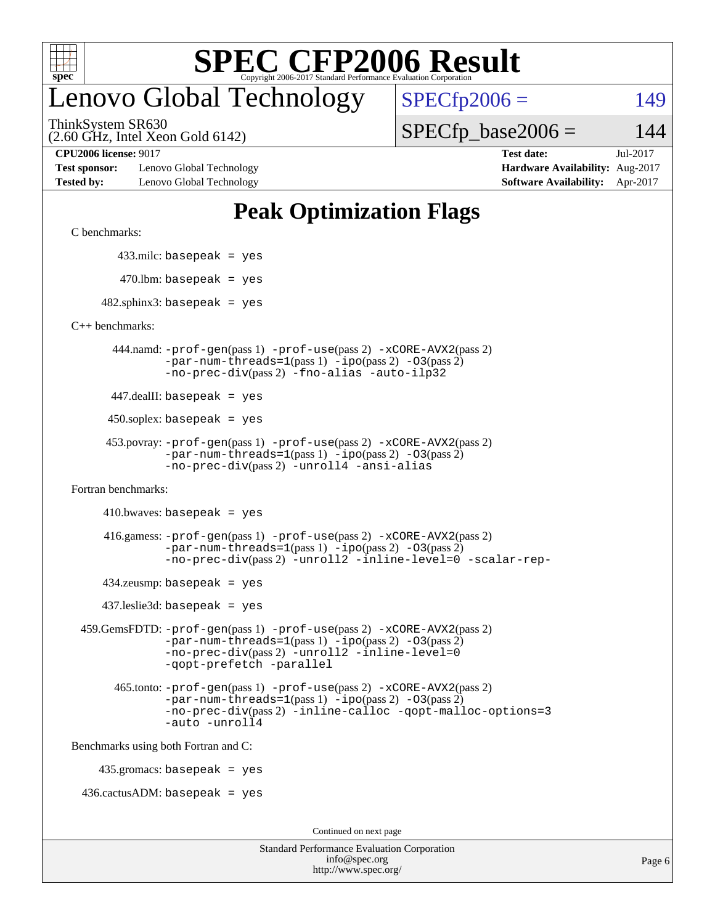

### enovo Global Technology

 $SPECfp2006 = 149$  $SPECfp2006 = 149$ 

(2.60 GHz, Intel Xeon Gold 6142) ThinkSystem SR630

 $SPECTp\_base2006 = 144$ 

**[Test sponsor:](http://www.spec.org/auto/cpu2006/Docs/result-fields.html#Testsponsor)** Lenovo Global Technology **[Hardware Availability:](http://www.spec.org/auto/cpu2006/Docs/result-fields.html#HardwareAvailability)** Aug-2017 **[Tested by:](http://www.spec.org/auto/cpu2006/Docs/result-fields.html#Testedby)** Lenovo Global Technology **[Software Availability:](http://www.spec.org/auto/cpu2006/Docs/result-fields.html#SoftwareAvailability)** Apr-2017

**[CPU2006 license:](http://www.spec.org/auto/cpu2006/Docs/result-fields.html#CPU2006license)** 9017 **[Test date:](http://www.spec.org/auto/cpu2006/Docs/result-fields.html#Testdate)** Jul-2017

#### **[Peak Optimization Flags](http://www.spec.org/auto/cpu2006/Docs/result-fields.html#PeakOptimizationFlags)**

[C benchmarks](http://www.spec.org/auto/cpu2006/Docs/result-fields.html#Cbenchmarks):

433.milc: basepeak = yes

 $470.$ lbm: basepeak = yes

 $482$ .sphinx3: basepeak = yes

[C++ benchmarks:](http://www.spec.org/auto/cpu2006/Docs/result-fields.html#CXXbenchmarks)

 444.namd: [-prof-gen](http://www.spec.org/cpu2006/results/res2017q4/cpu2006-20170918-49503.flags.html#user_peakPASS1_CXXFLAGSPASS1_LDFLAGS444_namd_prof_gen_e43856698f6ca7b7e442dfd80e94a8fc)(pass 1) [-prof-use](http://www.spec.org/cpu2006/results/res2017q4/cpu2006-20170918-49503.flags.html#user_peakPASS2_CXXFLAGSPASS2_LDFLAGS444_namd_prof_use_bccf7792157ff70d64e32fe3e1250b55)(pass 2) [-xCORE-AVX2](http://www.spec.org/cpu2006/results/res2017q4/cpu2006-20170918-49503.flags.html#user_peakPASS2_CXXFLAGSPASS2_LDFLAGS444_namd_f-xCORE-AVX2)(pass 2)  $-par-num-threads=1(pass 1) -ipo(pass 2) -O3(pass 2)$  $-par-num-threads=1(pass 1) -ipo(pass 2) -O3(pass 2)$  $-par-num-threads=1(pass 1) -ipo(pass 2) -O3(pass 2)$  $-par-num-threads=1(pass 1) -ipo(pass 2) -O3(pass 2)$  $-par-num-threads=1(pass 1) -ipo(pass 2) -O3(pass 2)$  $-par-num-threads=1(pass 1) -ipo(pass 2) -O3(pass 2)$ [-no-prec-div](http://www.spec.org/cpu2006/results/res2017q4/cpu2006-20170918-49503.flags.html#user_peakPASS2_CXXFLAGSPASS2_LDFLAGS444_namd_f-no-prec-div)(pass 2) [-fno-alias](http://www.spec.org/cpu2006/results/res2017q4/cpu2006-20170918-49503.flags.html#user_peakCXXOPTIMIZEOPTIMIZE444_namd_f-no-alias_694e77f6c5a51e658e82ccff53a9e63a) [-auto-ilp32](http://www.spec.org/cpu2006/results/res2017q4/cpu2006-20170918-49503.flags.html#user_peakCXXOPTIMIZE444_namd_f-auto-ilp32)

447.dealII: basepeak = yes

 $450$ .soplex: basepeak = yes

```
 453.povray: -prof-gen(pass 1) -prof-use(pass 2) -xCORE-AVX2(pass 2)
         -par-num-threads=1-ipo-O3(pass 2)-no-prec-div(pass 2) -unroll4 -ansi-alias
```
[Fortran benchmarks](http://www.spec.org/auto/cpu2006/Docs/result-fields.html#Fortranbenchmarks):

 $410.bwaves: basepeak = yes$ 

 416.gamess: [-prof-gen](http://www.spec.org/cpu2006/results/res2017q4/cpu2006-20170918-49503.flags.html#user_peakPASS1_FFLAGSPASS1_LDFLAGS416_gamess_prof_gen_e43856698f6ca7b7e442dfd80e94a8fc)(pass 1) [-prof-use](http://www.spec.org/cpu2006/results/res2017q4/cpu2006-20170918-49503.flags.html#user_peakPASS2_FFLAGSPASS2_LDFLAGS416_gamess_prof_use_bccf7792157ff70d64e32fe3e1250b55)(pass 2) [-xCORE-AVX2](http://www.spec.org/cpu2006/results/res2017q4/cpu2006-20170918-49503.flags.html#user_peakPASS2_FFLAGSPASS2_LDFLAGS416_gamess_f-xCORE-AVX2)(pass 2)  $-par-num-threads=1(pass 1) -ipo(pass 2) -O3(pass 2)$  $-par-num-threads=1(pass 1) -ipo(pass 2) -O3(pass 2)$  $-par-num-threads=1(pass 1) -ipo(pass 2) -O3(pass 2)$  $-par-num-threads=1(pass 1) -ipo(pass 2) -O3(pass 2)$  $-par-num-threads=1(pass 1) -ipo(pass 2) -O3(pass 2)$  $-par-num-threads=1(pass 1) -ipo(pass 2) -O3(pass 2)$ [-no-prec-div](http://www.spec.org/cpu2006/results/res2017q4/cpu2006-20170918-49503.flags.html#user_peakPASS2_FFLAGSPASS2_LDFLAGS416_gamess_f-no-prec-div)(pass 2) [-unroll2](http://www.spec.org/cpu2006/results/res2017q4/cpu2006-20170918-49503.flags.html#user_peakOPTIMIZE416_gamess_f-unroll_784dae83bebfb236979b41d2422d7ec2) [-inline-level=0](http://www.spec.org/cpu2006/results/res2017q4/cpu2006-20170918-49503.flags.html#user_peakOPTIMIZE416_gamess_f-inline-level_318d07a09274ad25e8d15dbfaa68ba50) [-scalar-rep-](http://www.spec.org/cpu2006/results/res2017q4/cpu2006-20170918-49503.flags.html#user_peakOPTIMIZE416_gamess_f-disablescalarrep_abbcad04450fb118e4809c81d83c8a1d)

 $434$ .zeusmp: basepeak = yes

437.leslie3d: basepeak = yes

```
 459.GemsFDTD: -prof-gen(pass 1) -prof-use(pass 2) -xCORE-AVX2(pass 2)
            -par-num-threads=1-ipo-O3(pass 2)-no-prec-div(pass 2) -unroll2 -inline-level=0
            -qopt-prefetch -parallel
```
 465.tonto: [-prof-gen](http://www.spec.org/cpu2006/results/res2017q4/cpu2006-20170918-49503.flags.html#user_peakPASS1_FFLAGSPASS1_LDFLAGS465_tonto_prof_gen_e43856698f6ca7b7e442dfd80e94a8fc)(pass 1) [-prof-use](http://www.spec.org/cpu2006/results/res2017q4/cpu2006-20170918-49503.flags.html#user_peakPASS2_FFLAGSPASS2_LDFLAGS465_tonto_prof_use_bccf7792157ff70d64e32fe3e1250b55)(pass 2) [-xCORE-AVX2](http://www.spec.org/cpu2006/results/res2017q4/cpu2006-20170918-49503.flags.html#user_peakPASS2_FFLAGSPASS2_LDFLAGS465_tonto_f-xCORE-AVX2)(pass 2)  $-par-num-threads=1(pass 1) -ipo(pass 2) -O3(pass 2)$  $-par-num-threads=1(pass 1) -ipo(pass 2) -O3(pass 2)$  $-par-num-threads=1(pass 1) -ipo(pass 2) -O3(pass 2)$  $-par-num-threads=1(pass 1) -ipo(pass 2) -O3(pass 2)$  $-par-num-threads=1(pass 1) -ipo(pass 2) -O3(pass 2)$  $-par-num-threads=1(pass 1) -ipo(pass 2) -O3(pass 2)$ [-no-prec-div](http://www.spec.org/cpu2006/results/res2017q4/cpu2006-20170918-49503.flags.html#user_peakPASS2_FFLAGSPASS2_LDFLAGS465_tonto_f-no-prec-div)(pass 2) [-inline-calloc](http://www.spec.org/cpu2006/results/res2017q4/cpu2006-20170918-49503.flags.html#user_peakOPTIMIZE465_tonto_f-inline-calloc) [-qopt-malloc-options=3](http://www.spec.org/cpu2006/results/res2017q4/cpu2006-20170918-49503.flags.html#user_peakOPTIMIZE465_tonto_f-qopt-malloc-options_0fcb435012e78f27d57f473818e45fe4) [-auto](http://www.spec.org/cpu2006/results/res2017q4/cpu2006-20170918-49503.flags.html#user_peakOPTIMIZE465_tonto_f-auto) [-unroll4](http://www.spec.org/cpu2006/results/res2017q4/cpu2006-20170918-49503.flags.html#user_peakOPTIMIZE465_tonto_f-unroll_4e5e4ed65b7fd20bdcd365bec371b81f)

[Benchmarks using both Fortran and C](http://www.spec.org/auto/cpu2006/Docs/result-fields.html#BenchmarksusingbothFortranandC):

435.gromacs: basepeak = yes

 $436.cactusADM:basepeak = yes$ 

Continued on next page

| <b>Standard Performance Evaluation Corporation</b> |
|----------------------------------------------------|
| info@spec.org                                      |
| http://www.spec.org/                               |